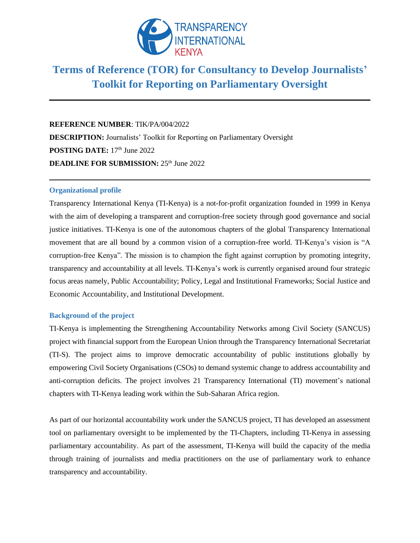

# **Terms of Reference (TOR) for Consultancy to Develop Journalists' Toolkit for Reporting on Parliamentary Oversight**

**REFERENCE NUMBER**: TIK/PA/004/2022 **DESCRIPTION:** Journalists' Toolkit for Reporting on Parliamentary Oversight POSTING DATE: 17<sup>th</sup> June 2022 **DEADLINE FOR SUBMISSION:** 25<sup>th</sup> June 2022

## **Organizational profile**

Transparency International Kenya (TI-Kenya) is a not-for-profit organization founded in 1999 in Kenya with the aim of developing a transparent and corruption-free society through good governance and social justice initiatives. TI-Kenya is one of the autonomous chapters of the global Transparency International movement that are all bound by a common vision of a corruption-free world. TI-Kenya's vision is "A corruption-free Kenya". The mission is to champion the fight against corruption by promoting integrity, transparency and accountability at all levels. TI-Kenya's work is currently organised around four strategic focus areas namely, Public Accountability; Policy, Legal and Institutional Frameworks; Social Justice and Economic Accountability, and Institutional Development.

## **Background of the project**

TI-Kenya is implementing the Strengthening Accountability Networks among Civil Society (SANCUS) project with financial support from the European Union through the Transparency International Secretariat (TI-S). The project aims to improve democratic accountability of public institutions globally by empowering Civil Society Organisations (CSOs) to demand systemic change to address accountability and anti-corruption deficits. The project involves 21 Transparency International (TI) movement's national chapters with TI-Kenya leading work within the Sub-Saharan Africa region.

As part of our horizontal accountability work under the SANCUS project, TI has developed an assessment tool on parliamentary oversight to be implemented by the TI-Chapters, including TI-Kenya in assessing parliamentary accountability. As part of the assessment, TI-Kenya will build the capacity of the media through training of journalists and media practitioners on the use of parliamentary work to enhance transparency and accountability.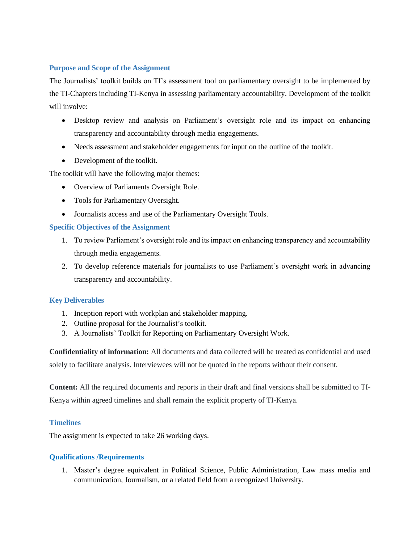# **Purpose and Scope of the Assignment**

The Journalists' toolkit builds on TI's assessment tool on parliamentary oversight to be implemented by the TI-Chapters including TI-Kenya in assessing parliamentary accountability. Development of the toolkit will involve:

- Desktop review and analysis on Parliament's oversight role and its impact on enhancing transparency and accountability through media engagements.
- Needs assessment and stakeholder engagements for input on the outline of the toolkit.
- Development of the toolkit.

The toolkit will have the following major themes:

- Overview of Parliaments Oversight Role.
- Tools for Parliamentary Oversight.
- Journalists access and use of the Parliamentary Oversight Tools.

# **Specific Objectives of the Assignment**

- 1. To review Parliament's oversight role and its impact on enhancing transparency and accountability through media engagements.
- 2. To develop reference materials for journalists to use Parliament's oversight work in advancing transparency and accountability.

# **Key Deliverables**

- 1. Inception report with workplan and stakeholder mapping.
- 2. Outline proposal for the Journalist's toolkit.
- 3. A Journalists' Toolkit for Reporting on Parliamentary Oversight Work.

**Confidentiality of information:** All documents and data collected will be treated as confidential and used solely to facilitate analysis. Interviewees will not be quoted in the reports without their consent.

**Content:** All the required documents and reports in their draft and final versions shall be submitted to TI-Kenya within agreed timelines and shall remain the explicit property of TI-Kenya.

# **Timelines**

The assignment is expected to take 26 working days.

## **Qualifications /Requirements**

1. Master's degree equivalent in Political Science, Public Administration, Law mass media and communication, Journalism, or a related field from a recognized University.